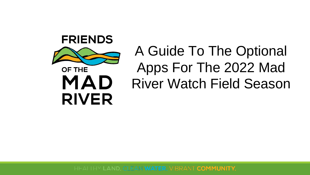

# A Guide To The Optional Apps For The 2022 Mad River Watch Field Season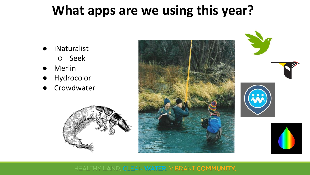### **What apps are we using this year?**

- iNaturalist ○ Seek
- **Merlin**
- Hydrocolor
- Crowdwater



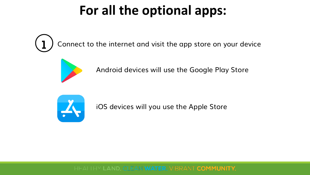### **For all the optional apps:**

Connect to the internet and visit the app store on your device



Android devices will use the Google Play Store



iOS devices will you use the Apple Store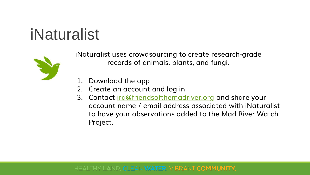## iNaturalist



iNaturalist uses crowdsourcing to create research-grade records of animals, plants, and fungi.

- 1. Download the app
- 2. Create an account and log in
- 3. Contact [ira@friendsofthemadriver.org](mailto:ira@friendsofthemadriver.org) and share your account name / email address associated with iNaturalist to have your observations added to the Mad River Watch Project.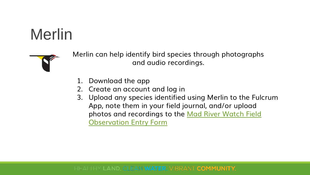



Merlin can help identify bird species through photographs and audio recordings.

- 1. Download the app
- 2. Create an account and log in
- 3. Upload any species identified using Merlin to the Fulcrum App, note them in your field journal, and/or upload [photos and recordings to the Mad River Watch Field](https://forms.gle/W4Zuu4PKXYMzTe6XA) Observation Entry Form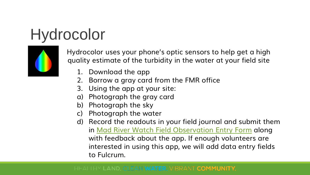## Hydrocolor



Hydrocolor uses your phone's optic sensors to help get a high quality estimate of the turbidity in the water at your field site

- 1. Download the app
- 2. Borrow a gray card from the FMR office
- 3. Using the app at your site:
- a) Photograph the gray card
- b) Photograph the sky
- c) Photograph the water
- d) Record the readouts in your field journal and submit them in [Mad River Watch Field Observation Entry Form](https://forms.gle/W4Zuu4PKXYMzTe6XA) along with feedback about the app. If enough volunteers are interested in using this app, we will add data entry fields to Fulcrum.